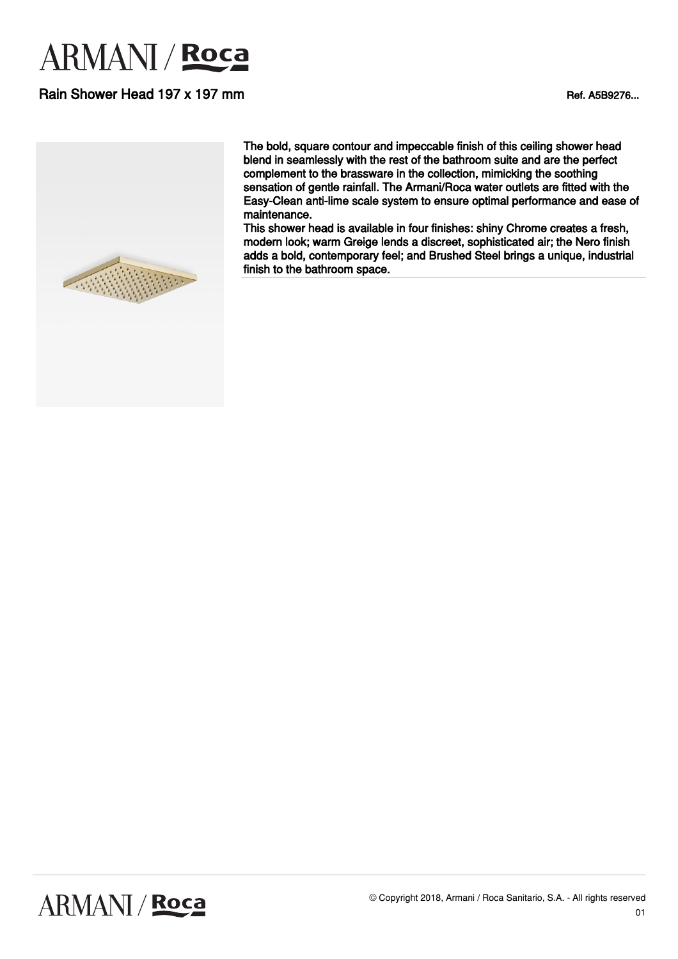# **ARMANI** / Roca

### Rain Shower Head 197 x 197 mm



The bold, square contour and impeccable finish of this ceiling shower head blend in seamlessly with the rest of the bathroom suite and are the perfect complement to the brassware in the collection, mimicking the soothing sensation of gentle rainfall. The Armani/Roca water outlets are fitted with the Easy-Clean anti-lime scale system to ensure optimal performance and ease of maintenance.

This shower head is available in four finishes: shiny Chrome creates a fresh, modern look; warm Greige lends a discreet, sophisticated air; the Nero finish adds a bold, contemporary feel; and Brushed Steel brings a unique, industrial finish to the bathroom space.

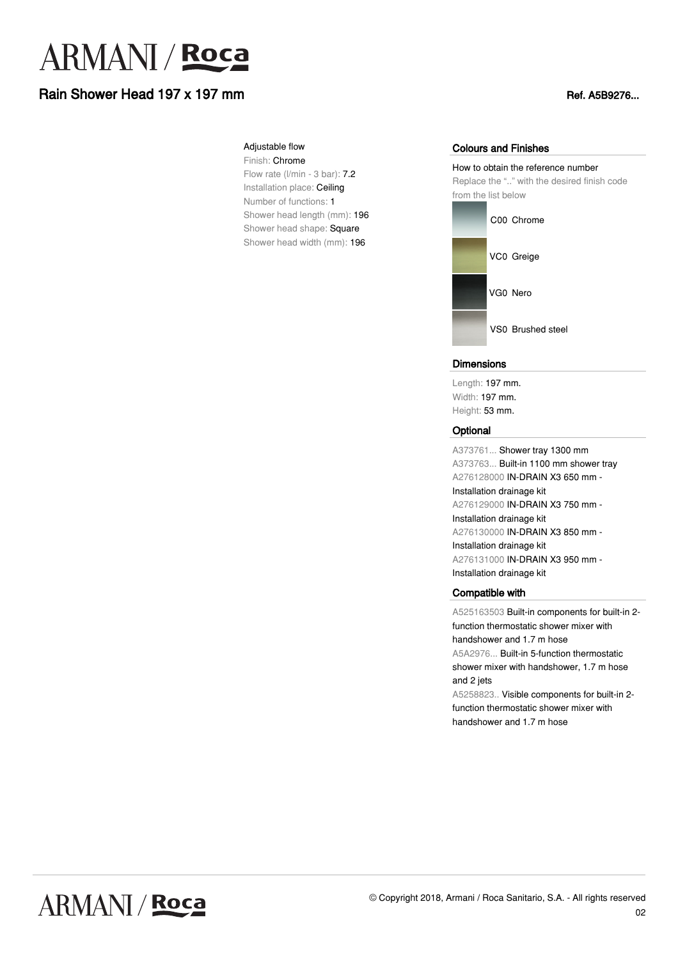# **ARMANI** / Roca

# Rain Shower Head 197 x 197 mm

#### Adjustable flow

Finish: Chrome Flow rate (l/min - 3 bar): 7.2 Installation place: Ceiling Number of functions: 1 Shower head length (mm): 196 Shower head shape: Square Shower head width (mm): 196

#### Colours and Finishes

How to obtain the reference number Replace the ".." with the desired finish code from the list below



#### **Dimensions**

Length: 197 mm. Width: 197 mm. Height: 53 mm.

#### **Optional**

A373761... Shower tray 1300 mm A373763... Built-in 1100 mm shower tray A276128000 IN-DRAIN X3 650 mm - Installation drainage kit A276129000 IN-DRAIN X3 750 mm - Installation drainage kit A276130000 IN-DRAIN X3 850 mm - Installation drainage kit A276131000 IN-DRAIN X3 950 mm - Installation drainage kit

### Compatible with

A525163503 Built-in components for built-in 2 function thermostatic shower mixer with handshower and 1.7 m hose A5A2976... Built-in 5-function thermostatic shower mixer with handshower, 1.7 m hose and 2 jets A5258823.. Visible components for built-in 2-

function thermostatic shower mixer with handshower and 1.7 m hose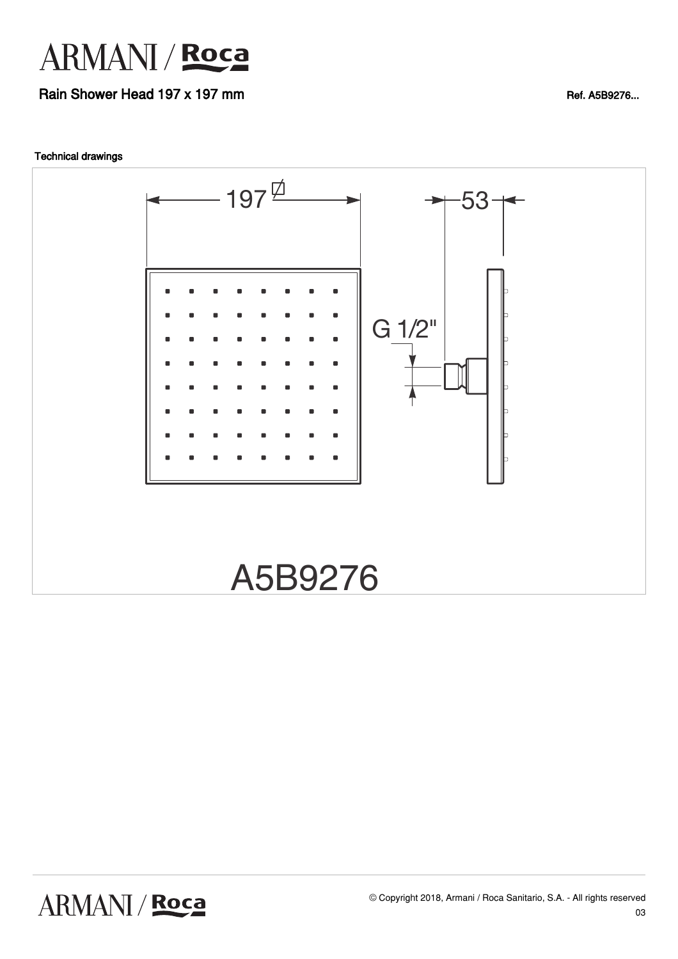

## Rain Shower Head 197 x 197 mm



ARMANI / Roca